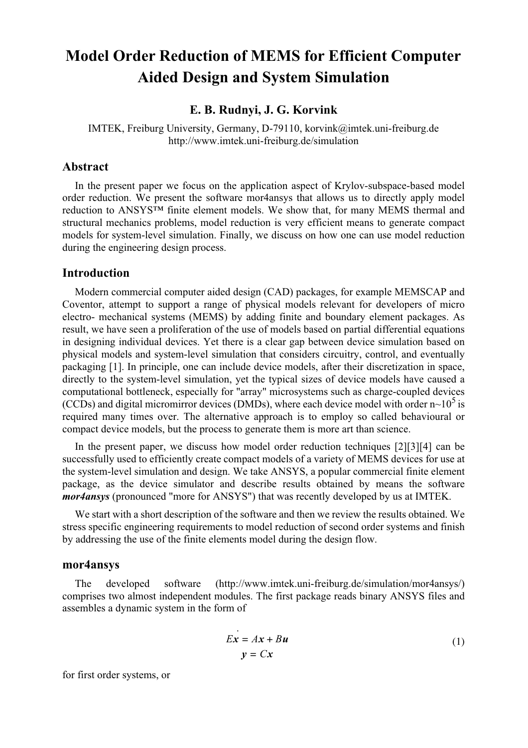# **Model Order Reduction of MEMS for Efficient Computer Aided Design and System Simulation**

# **E. B. Rudnyi, J. G. Korvink**

IMTEK, Freiburg University, Germany, D-79110, korvink@imtek.uni-freiburg.de http://www.imtek.uni-freiburg.de/simulation

#### **Abstract**

In the present paper we focus on the application aspect of Krylov-subspace-based model order reduction. We present the software mor4ansys that allows us to directly apply model reduction to ANSYS™ finite element models. We show that, for many MEMS thermal and structural mechanics problems, model reduction is very efficient means to generate compact models for system-level simulation. Finally, we discuss on how one can use model reduction during the engineering design process.

## **Introduction**

Modern commercial computer aided design (CAD) packages, for example MEMSCAP and Coventor, attempt to support a range of physical models relevant for developers of micro electro- mechanical systems (MEMS) by adding finite and boundary element packages. As result, we have seen a proliferation of the use of models based on partial differential equations in designing individual devices. Yet there is a clear gap between device simulation based on physical models and system-level simulation that considers circuitry, control, and eventually packaging [1]. In principle, one can include device models, after their discretization in space, directly to the system-level simulation, yet the typical sizes of device models have caused a computational bottleneck, especially for "array" microsystems such as charge-coupled devices (CCDs) and digital micromirror devices (DMDs), where each device model with order  $n \sim 10^5$  is required many times over. The alternative approach is to employ so called behavioural or compact device models, but the process to generate them is more art than science.

In the present paper, we discuss how model order reduction techniques [2][3][4] can be successfully used to efficiently create compact models of a variety of MEMS devices for use at the system-level simulation and design. We take ANSYS, a popular commercial finite element package, as the device simulator and describe results obtained by means the software *mor4ansys* (pronounced "more for ANSYS") that was recently developed by us at IMTEK.

We start with a short description of the software and then we review the results obtained. We stress specific engineering requirements to model reduction of second order systems and finish by addressing the use of the finite elements model during the design flow.

#### **mor4ansys**

The developed software (http://www.imtek.uni-freiburg.de/simulation/mor4ansys/) comprises two almost independent modules. The first package reads binary ANSYS files and assembles a dynamic system in the form of

$$
\begin{aligned}\n\dot{Ex} &= Ax + Bu \\
y &= Cx\n\end{aligned} \tag{1}
$$

for first order systems, or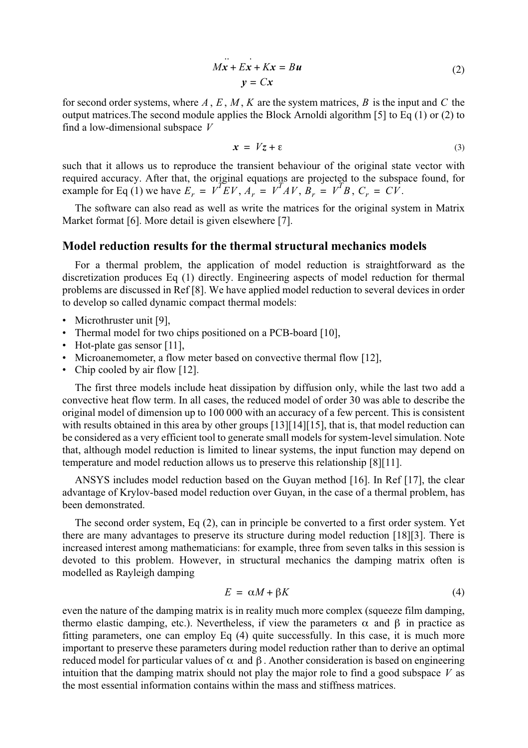$$
M\ddot{x} + E\dot{x} + Kx = Bu
$$
  

$$
y = Cx
$$
 (2)

for second order systems, where  $A, E, M, K$  are the system matrices,  $B$  is the input and  $C$  the output matrices.The second module applies the Block Arnoldi algorithm [5] to Eq (1) or (2) to find a low-dimensional subspace *V*

$$
x = Vz + \varepsilon \tag{3}
$$

such that it allows us to reproduce the transient behaviour of the original state vector with required accuracy. After that, the original equations are projected to the subspace found, for example for Eq (1) we have  $E_r = V^T E V$ ,  $A_r = V^T A V$ ,  $B_r = V^T B$ ,  $C_r = CV$ .

The software can also read as well as write the matrices for the original system in Matrix Market format [6]. More detail is given elsewhere [7].

## **Model reduction results for the thermal structural mechanics models**

For a thermal problem, the application of model reduction is straightforward as the discretization produces Eq (1) directly. Engineering aspects of model reduction for thermal problems are discussed in Ref [8]. We have applied model reduction to several devices in order to develop so called dynamic compact thermal models:

- Microthruster unit [9],
- Thermal model for two chips positioned on a PCB-board [10],
- Hot-plate gas sensor [11],
- Microanemometer, a flow meter based on convective thermal flow [12],
- Chip cooled by air flow [12].

The first three models include heat dissipation by diffusion only, while the last two add a convective heat flow term. In all cases, the reduced model of order 30 was able to describe the original model of dimension up to 100 000 with an accuracy of a few percent. This is consistent with results obtained in this area by other groups [13][14][15], that is, that model reduction can be considered as a very efficient tool to generate small models for system-level simulation. Note that, although model reduction is limited to linear systems, the input function may depend on temperature and model reduction allows us to preserve this relationship [8][11].

ANSYS includes model reduction based on the Guyan method [16]. In Ref [17], the clear advantage of Krylov-based model reduction over Guyan, in the case of a thermal problem, has been demonstrated.

The second order system, Eq (2), can in principle be converted to a first order system. Yet there are many advantages to preserve its structure during model reduction [18][3]. There is increased interest among mathematicians: for example, three from seven talks in this session is devoted to this problem. However, in structural mechanics the damping matrix often is modelled as Rayleigh damping

$$
E = \alpha M + \beta K \tag{4}
$$

even the nature of the damping matrix is in reality much more complex (squeeze film damping, thermo elastic damping, etc.). Nevertheless, if view the parameters  $\alpha$  and  $\beta$  in practice as fitting parameters, one can employ Eq (4) quite successfully. In this case, it is much more important to preserve these parameters during model reduction rather than to derive an optimal reduced model for particular values of  $\alpha$  and  $\beta$ . Another consideration is based on engineering intuition that the damping matrix should not play the major role to find a good subspace  $V$  as the most essential information contains within the mass and stiffness matrices.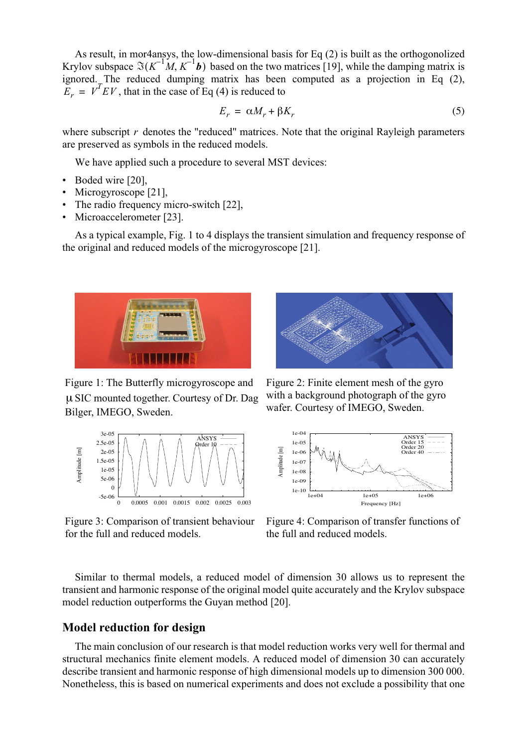As result, in mor4ansys, the low-dimensional basis for Eq (2) is built as the orthogonolized Krylov subspace  $\Im(K^{-1}M, K^{-1}b)$  based on the two matrices [19], while the damping matrix is ignored. The reduced dumping matrix has been computed as a projection in Eq (2),  $E_r = V^T E V$ , that in the case of Eq (4) is reduced to

$$
E_r = \alpha M_r + \beta K_r \tag{5}
$$

where subscript  $r$  denotes the "reduced" matrices. Note that the original Rayleigh parameters are preserved as symbols in the reduced models.

We have applied such a procedure to several MST devices:

- Boded wire [20],
- Microgyroscope [21],
- The radio frequency micro-switch [22],
- Microaccelerometer [23].

As a typical example, Fig. 1 to 4 displays the transient simulation and frequency response of the original and reduced models of the microgyroscope [21].



Figure 1: The Butterfly microgyroscope and SIC mounted together. Courtesy of Dr. Dag µ Bilger, IMEGO, Sweden.



Figure 3: Comparison of transient behaviour for the full and reduced models.



Figure 2: Finite element mesh of the gyro with a background photograph of the gyro wafer. Courtesy of IMEGO, Sweden.



Figure 4: Comparison of transfer functions of the full and reduced models.

Similar to thermal models, a reduced model of dimension 30 allows us to represent the transient and harmonic response of the original model quite accurately and the Krylov subspace model reduction outperforms the Guyan method [20].

## **Model reduction for design**

The main conclusion of our research is that model reduction works very well for thermal and structural mechanics finite element models. A reduced model of dimension 30 can accurately describe transient and harmonic response of high dimensional models up to dimension 300 000. Nonetheless, this is based on numerical experiments and does not exclude a possibility that one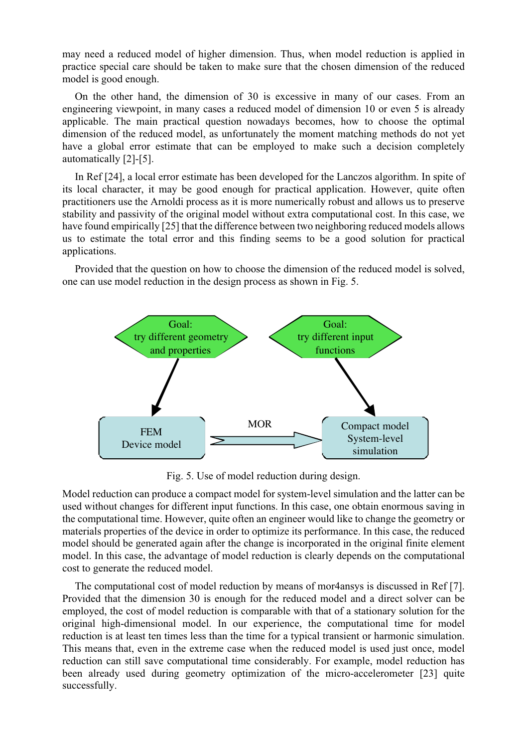may need a reduced model of higher dimension. Thus, when model reduction is applied in practice special care should be taken to make sure that the chosen dimension of the reduced model is good enough.

On the other hand, the dimension of 30 is excessive in many of our cases. From an engineering viewpoint, in many cases a reduced model of dimension 10 or even 5 is already applicable. The main practical question nowadays becomes, how to choose the optimal dimension of the reduced model, as unfortunately the moment matching methods do not yet have a global error estimate that can be employed to make such a decision completely automatically [2]-[5].

In Ref [24], a local error estimate has been developed for the Lanczos algorithm. In spite of its local character, it may be good enough for practical application. However, quite often practitioners use the Arnoldi process as it is more numerically robust and allows us to preserve stability and passivity of the original model without extra computational cost. In this case, we have found empirically [25] that the difference between two neighboring reduced models allows us to estimate the total error and this finding seems to be a good solution for practical applications.

Provided that the question on how to choose the dimension of the reduced model is solved, one can use model reduction in the design process as shown in Fig. 5.



Fig. 5. Use of model reduction during design.

Model reduction can produce a compact model for system-level simulation and the latter can be used without changes for different input functions. In this case, one obtain enormous saving in the computational time. However, quite often an engineer would like to change the geometry or materials properties of the device in order to optimize its performance. In this case, the reduced model should be generated again after the change is incorporated in the original finite element model. In this case, the advantage of model reduction is clearly depends on the computational cost to generate the reduced model.

The computational cost of model reduction by means of mor4ansys is discussed in Ref [7]. Provided that the dimension 30 is enough for the reduced model and a direct solver can be employed, the cost of model reduction is comparable with that of a stationary solution for the original high-dimensional model. In our experience, the computational time for model reduction is at least ten times less than the time for a typical transient or harmonic simulation. This means that, even in the extreme case when the reduced model is used just once, model reduction can still save computational time considerably. For example, model reduction has been already used during geometry optimization of the micro-accelerometer [23] quite successfully.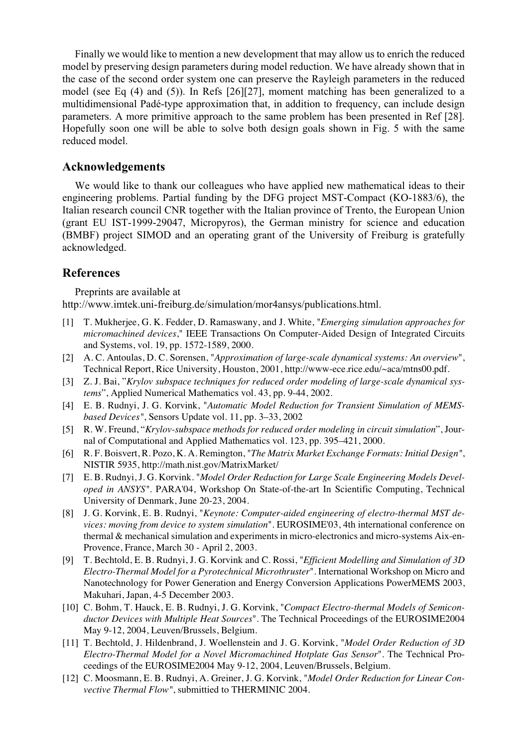Finally we would like to mention a new development that may allow us to enrich the reduced model by preserving design parameters during model reduction. We have already shown that in the case of the second order system one can preserve the Rayleigh parameters in the reduced model (see Eq (4) and (5)). In Refs [26][27], moment matching has been generalized to a multidimensional Padé-type approximation that, in addition to frequency, can include design parameters. A more primitive approach to the same problem has been presented in Ref [28]. Hopefully soon one will be able to solve both design goals shown in Fig. 5 with the same reduced model.

#### **Acknowledgements**

We would like to thank our colleagues who have applied new mathematical ideas to their engineering problems. Partial funding by the DFG project MST-Compact (KO-1883/6), the Italian research council CNR together with the Italian province of Trento, the European Union (grant EU IST-1999-29047, Micropyros), the German ministry for science and education (BMBF) project SIMOD and an operating grant of the University of Freiburg is gratefully acknowledged.

## **References**

Preprints are available at http://www.imtek.uni-freiburg.de/simulation/mor4ansys/publications.html.

- [1] T. Mukherjee, G. K. Fedder, D. Ramaswany, and J. White, "*Emerging simulation approaches for micromachined devices*," IEEE Transactions On Computer-Aided Design of Integrated Circuits and Systems, vol. 19, pp. 1572-1589, 2000.
- [2] A. C. Antoulas, D. C. Sorensen, "*Approximation of large-scale dynamical systems: An overview*", Technical Report, Rice University, Houston, 2001, http://www-ece.rice.edu/~aca/mtns00.pdf.
- [3] Z. J. Bai, "*Krylov subspace techniques for reduced order modeling of large-scale dynamical systems*", Applied Numerical Mathematics vol. 43, pp. 9-44, 2002.
- [4] E. B. Rudnyi, J. G. Korvink, "*Automatic Model Reduction for Transient Simulation of MEMSbased Devices"*, Sensors Update vol. 11, pp. 3–33, 2002
- [5] R. W. Freund, "*Krylov-subspace methods for reduced order modeling in circuit simulation*", Journal of Computational and Applied Mathematics vol. 123, pp. 395–421, 2000.
- [6] R. F. Boisvert, R. Pozo, K. A. Remington, "*The Matrix Market Exchange Formats: Initial Design"*, NISTIR 5935, http://math.nist.gov/MatrixMarket/
- [7] E. B. Rudnyi, J. G. Korvink. "*Model Order Reduction for Large Scale Engineering Models Developed in ANSYS"*. PARA'04, Workshop On State-of-the-art In Scientific Computing, Technical University of Denmark, June 20-23, 2004.
- [8] J. G. Korvink, E. B. Rudnyi, "*Keynote: Computer-aided engineering of electro-thermal MST devices: moving from device to system simulation*". EUROSIME'03, 4th international conference on thermal & mechanical simulation and experiments in micro-electronics and micro-systems Aix-en-Provence, France, March 30 - April 2, 2003.
- [9] T. Bechtold, E. B. Rudnyi, J. G. Korvink and C. Rossi, "*Efficient Modelling and Simulation of 3D Electro-Thermal Model for a Pyrotechnical Microthruster*". International Workshop on Micro and Nanotechnology for Power Generation and Energy Conversion Applications PowerMEMS 2003, Makuhari, Japan, 4-5 December 2003.
- [10] C. Bohm, T. Hauck, E. B. Rudnyi, J. G. Korvink, "*Compact Electro-thermal Models of Semiconductor Devices with Multiple Heat Sources*". The Technical Proceedings of the EUROSIME2004 May 9-12, 2004, Leuven/Brussels, Belgium.
- [11] T. Bechtold, J. Hildenbrand, J. Woellenstein and J. G. Korvink, "*Model Order Reduction of 3D Electro-Thermal Model for a Novel Micromachined Hotplate Gas Sensor*". The Technical Proceedings of the EUROSIME2004 May 9-12, 2004, Leuven/Brussels, Belgium.
- [12] C. Moosmann, E. B. Rudnyi, A. Greiner, J. G. Korvink, "*Model Order Reduction for Linear Convective Thermal Flow"*, submittied to THERMINIC 2004.